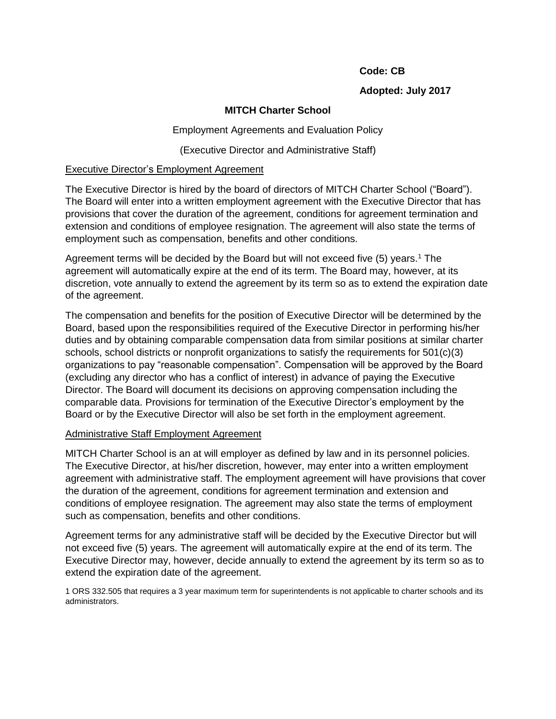#### **Code: CB**

## **Adopted: July 2017**

# **MITCH Charter School**

Employment Agreements and Evaluation Policy

(Executive Director and Administrative Staff)

## Executive Director's Employment Agreement

The Executive Director is hired by the board of directors of MITCH Charter School ("Board"). The Board will enter into a written employment agreement with the Executive Director that has provisions that cover the duration of the agreement, conditions for agreement termination and extension and conditions of employee resignation. The agreement will also state the terms of employment such as compensation, benefits and other conditions.

Agreement terms will be decided by the Board but will not exceed five (5) years.<sup>1</sup> The agreement will automatically expire at the end of its term. The Board may, however, at its discretion, vote annually to extend the agreement by its term so as to extend the expiration date of the agreement.

The compensation and benefits for the position of Executive Director will be determined by the Board, based upon the responsibilities required of the Executive Director in performing his/her duties and by obtaining comparable compensation data from similar positions at similar charter schools, school districts or nonprofit organizations to satisfy the requirements for 501(c)(3) organizations to pay "reasonable compensation". Compensation will be approved by the Board (excluding any director who has a conflict of interest) in advance of paying the Executive Director. The Board will document its decisions on approving compensation including the comparable data. Provisions for termination of the Executive Director's employment by the Board or by the Executive Director will also be set forth in the employment agreement.

## Administrative Staff Employment Agreement

MITCH Charter School is an at will employer as defined by law and in its personnel policies. The Executive Director, at his/her discretion, however, may enter into a written employment agreement with administrative staff. The employment agreement will have provisions that cover the duration of the agreement, conditions for agreement termination and extension and conditions of employee resignation. The agreement may also state the terms of employment such as compensation, benefits and other conditions.

Agreement terms for any administrative staff will be decided by the Executive Director but will not exceed five (5) years. The agreement will automatically expire at the end of its term. The Executive Director may, however, decide annually to extend the agreement by its term so as to extend the expiration date of the agreement.

1 ORS 332.505 that requires a 3 year maximum term for superintendents is not applicable to charter schools and its administrators.